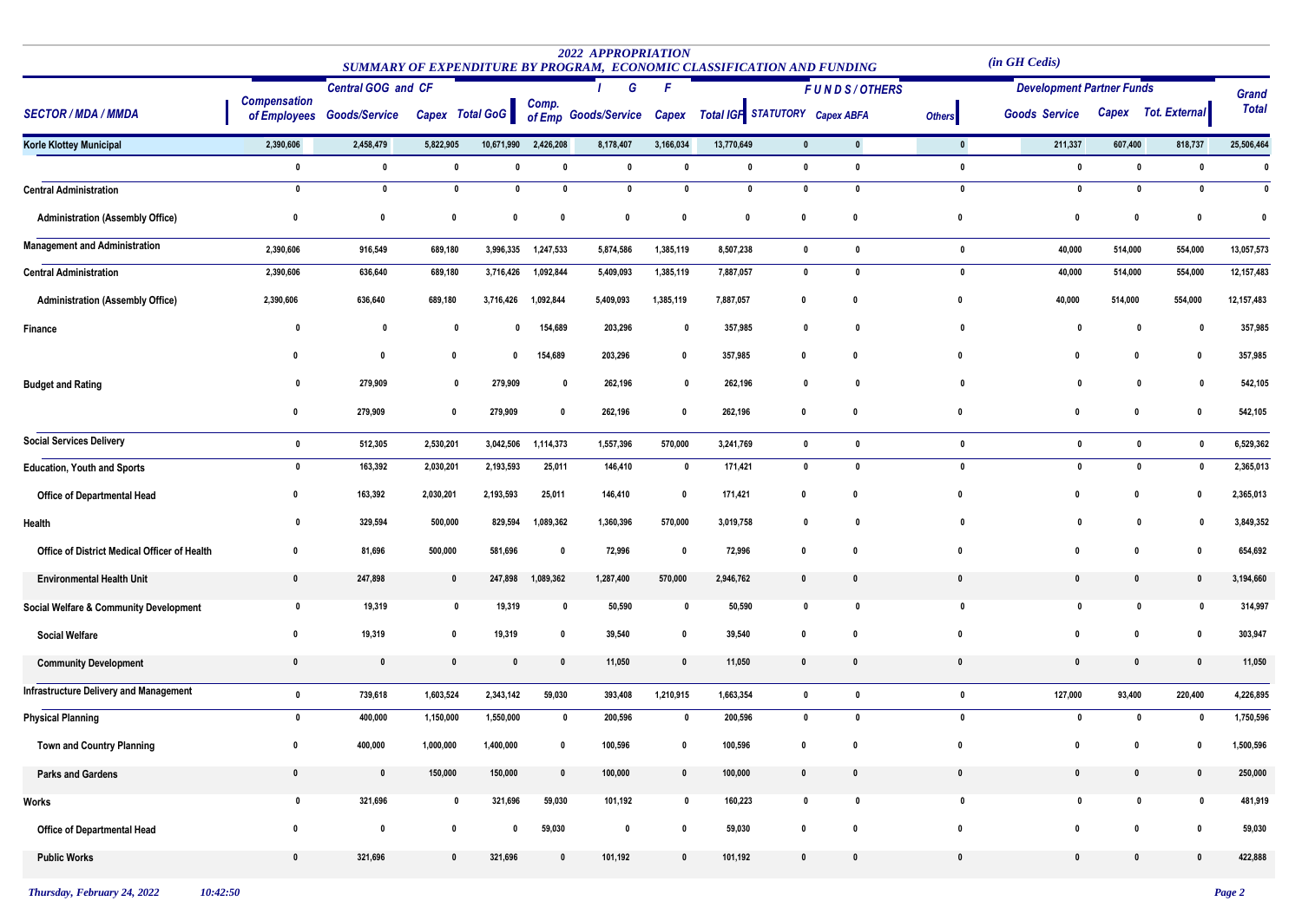|                                               |                                     |                           |             |                 |              | <b>2022 APPROPRIATION</b><br>SUMMARY OF EXPENDITURE BY PROGRAM, ECONOMIC CLASSIFICATION AND FUNDING |              |                                |              |              |               | (in GH Cedis)                    |              |                      |              |
|-----------------------------------------------|-------------------------------------|---------------------------|-------------|-----------------|--------------|-----------------------------------------------------------------------------------------------------|--------------|--------------------------------|--------------|--------------|---------------|----------------------------------|--------------|----------------------|--------------|
| <b>SECTOR / MDA / MMDA</b>                    |                                     | <b>Central GOG and CF</b> |             |                 | G            |                                                                                                     | F            | <b>FUNDS/OTHERS</b>            |              |              |               | <b>Development Partner Funds</b> |              |                      | Grand        |
|                                               | <b>Compensation</b><br>of Employees | <b>Goods/Service</b>      |             | Capex Total GoG | Comp.        | of Emp Goods/Service                                                                                | Capex        | Total IGF STATUTORY Capex ABFA |              |              | <b>Others</b> | <b>Goods Service</b>             | Capex        | <b>Tot. External</b> | <b>Total</b> |
| <b>Korle Klottey Municipal</b>                | 2,390,606                           | 2,458,479                 | 5,822,905   | 10,671,990      | 2,426,208    | 8,178,407                                                                                           | 3,166,034    | 13,770,649                     | $\mathbf{0}$ | $\mathbf{0}$ | $\mathbf 0$   | 211,337                          | 607,400      | 818,737              | 25,506,464   |
|                                               | $\mathbf{0}$                        | $\mathbf 0$               | 0           | $\mathbf{0}$    | 0            | 0                                                                                                   | 0            | $\mathbf 0$                    | $\mathbf 0$  | $\mathbf 0$  | $\mathbf{0}$  | $\mathbf 0$                      | 0            | $\mathbf 0$          | $\mathbf{0}$ |
| <b>Central Administration</b>                 | $\mathbf 0$                         | $\mathbf 0$               | $\mathbf 0$ | $\mathbf{0}$    | $\mathbf{0}$ | $\mathbf{0}$                                                                                        | $\mathbf{0}$ | $\mathbf 0$                    | 0            | $\mathbf{0}$ | $\mathbf{0}$  | $\mathbf{0}$                     | 0            | 0                    | 0            |
| <b>Administration (Assembly Office)</b>       | 0                                   | $\mathbf 0$               | 0           | 0               | 0            | $\mathbf{0}$                                                                                        | $\mathbf{0}$ | $\mathbf 0$                    | $\mathbf{0}$ | 0            | 0             | $\mathbf 0$                      | $\mathbf{0}$ | 0                    | 0            |
| <b>Management and Administration</b>          | 2,390,606                           | 916,549                   | 689,180     | 3,996,335       | 1,247,533    | 5,874,586                                                                                           | 1,385,119    | 8,507,238                      | $\mathbf{0}$ | $\mathbf{0}$ | $\mathbf{0}$  | 40,000                           | 514,000      | 554,000              | 13,057,573   |
| <b>Central Administration</b>                 | 2,390,606                           | 636,640                   | 689,180     | 3,716,426       | 1,092,844    | 5,409,093                                                                                           | 1,385,119    | 7,887,057                      | $\mathbf 0$  | $\mathbf{0}$ | $\mathbf 0$   | 40,000                           | 514,000      | 554,000              | 12,157,483   |
| <b>Administration (Assembly Office)</b>       | 2,390,606                           | 636,640                   | 689,180     | 3,716,426       | 1,092,844    | 5,409,093                                                                                           | 1,385,119    | 7,887,057                      | 0            |              | - 0           | 40,000                           | 514,000      | 554,000              | 12,157,483   |
| Finance                                       | 0                                   | 0                         | 0           | 0               | 154,689      | 203,296                                                                                             | 0            | 357,985                        | 0            | 0            | -0            | 0                                | 0            | 0                    | 357,985      |
|                                               |                                     | 0                         | 0           | 0               | 154,689      | 203,296                                                                                             | $\mathbf{0}$ | 357,985                        | 0            | 0            |               |                                  | 0            | 0                    | 357,985      |
| <b>Budget and Rating</b>                      | $\mathbf{0}$                        | 279,909                   | 0           | 279,909         | 0            | 262,196                                                                                             | 0            | 262,196                        | 0            | 0            | $\mathbf{0}$  | $\mathbf{0}$                     | 0            | 0                    | 542,105      |
|                                               | 0                                   | 279,909                   | 0           | 279,909         | 0            | 262,196                                                                                             | $\mathbf{0}$ | 262,196                        | $\mathbf{0}$ | - 0          | 0             | $\mathbf{0}$                     | $\mathbf{0}$ | 0                    | 542,105      |
| <b>Social Services Delivery</b>               | $\mathbf 0$                         | 512,305                   | 2,530,201   | 3,042,506       | 1,114,373    | 1,557,396                                                                                           | 570,000      | 3,241,769                      | $\mathbf 0$  | $\mathbf{0}$ | $\mathbf 0$   | $\mathbf{0}$                     | 0            | $\mathbf 0$          | 6,529,362    |
| <b>Education, Youth and Sports</b>            | $\pmb{0}$                           | 163,392                   | 2,030,201   | 2,193,593       | 25,011       | 146,410                                                                                             | $\mathbf 0$  | 171,421                        | $\mathbf 0$  | $\mathbf{0}$ | $\mathbf{0}$  | $\mathbf{0}$                     |              | $\mathbf{0}$         | 2,365,013    |
| Office of Departmental Head                   | 0                                   | 163,392                   | 2,030,201   | 2,193,593       | 25,011       | 146,410                                                                                             | $\mathbf{0}$ | 171,421                        | $\mathbf{0}$ | 0            | 0             | 0                                | 0            | 0                    | 2,365,013    |
| Health                                        | 0                                   | 329,594                   | 500,000     | 829,594         | 1,089,362    | 1,360,396                                                                                           | 570,000      | 3,019,758                      | 0            | 0            |               |                                  |              | 0                    | 3,849,352    |
| Office of District Medical Officer of Health  | 0                                   | 81,696                    | 500,000     | 581,696         | 0            | 72,996                                                                                              | $\mathbf 0$  | 72,996                         | $\mathbf{0}$ | 0            | - 0           | $\mathbf{0}$                     | 0            | 0                    | 654,692      |
| <b>Environmental Health Unit</b>              | $\mathbf{0}$                        | 247,898                   | 0           | 247,898         | 1,089,362    | 1,287,400                                                                                           | 570,000      | 2,946,762                      | 0            | 0            | $\mathbf{0}$  | $\mathbf{0}$                     | 0            | $\mathbf{0}$         | 3,194,660    |
| Social Welfare & Community Development        | 0                                   | 19,319                    | 0           | 19,319          | 0            | 50,590                                                                                              | 0            | 50,590                         | 0            | 0            | 0             | 0                                | 0            | 0                    | 314,997      |
| <b>Social Welfare</b>                         | $\mathbf{0}$                        | 19,319                    | 0           | 19,319          | 0            | 39,540                                                                                              | $\mathbf{0}$ | 39,540                         | $\mathbf{0}$ | - 0          | 0             | $\mathbf{0}$                     | 0            | 0                    | 303,947      |
| <b>Community Development</b>                  | $\mathbf{0}$                        | $\mathbf{0}$              | 0           | 0               | $\mathbf 0$  | 11,050                                                                                              | $\mathbf{0}$ | 11,050                         | $\mathbf{0}$ | 0            | $\mathbf{0}$  | $\mathbf{0}$                     | 0            | $\mathbf{0}$         | 11,050       |
| <b>Infrastructure Delivery and Management</b> | $\mathbf 0$                         | 739,618                   | 1,603,524   | 2,343,142       | 59,030       | 393,408                                                                                             | 1,210,915    | 1,663,354                      | $\mathbf 0$  | $\mathbf{0}$ | $\mathbf{0}$  | 127,000                          | 93,400       | 220,400              | 4,226,895    |
| <b>Physical Planning</b>                      | $\mathbf 0$                         | 400,000                   | 1,150,000   | 1,550,000       | $\mathbf 0$  | 200,596                                                                                             | 0            | 200,596                        | $\mathbf{0}$ | $\mathbf{0}$ | $\mathbf{0}$  | $\mathbf{0}$                     | $\mathbf{0}$ | 0                    | 1,750,596    |
| <b>Town and Country Planning</b>              | $\mathbf 0$                         | 400,000                   | 1,000,000   | 1,400,000       | 0            | 100,596                                                                                             | $\mathbf{0}$ | 100,596                        | $\mathbf{0}$ | 0            | $\mathbf{0}$  | $\mathbf{0}$                     | 0            | 0                    | 1,500,596    |
| <b>Parks and Gardens</b>                      | $\mathbf 0$                         | $\pmb{0}$                 | 150,000     | 150,000         | $\mathbf 0$  | 100,000                                                                                             | $\mathbf{0}$ | 100,000                        | $\mathbf{0}$ | $\mathbf{0}$ | $\pmb{0}$     | $\mathbf 0$                      | $\mathbf{0}$ | $\pmb{0}$            | 250,000      |
| Works                                         | $\mathbf 0$                         | 321,696                   | $\mathbf 0$ | 321,696         | 59,030       | 101,192                                                                                             | 0            | 160,223                        | $\mathbf 0$  | $\mathbf 0$  | $\pmb{0}$     | $\mathbf 0$                      | 0            | 0                    | 481,919      |
| Office of Departmental Head                   | $\mathbf 0$                         | $\mathbf 0$               | 0           | 0               | 59,030       | $\mathbf 0$                                                                                         | $\mathbf{0}$ | 59,030                         | $\mathbf{0}$ | 0            | $\mathbf 0$   | $\mathbf 0$                      | $\mathbf{0}$ | $\mathbf 0$          | 59,030       |
| <b>Public Works</b>                           | $\mathbf 0$                         | 321,696                   | 0           | 321,696         | $\mathbf 0$  | 101,192                                                                                             | $\mathbf{0}$ | 101,192                        | $\mathbf 0$  | $\mathbf{0}$ | $\mathbf 0$   | $\mathbf{0}$                     | $\mathbf 0$  | $\pmb{0}$            | 422,888      |